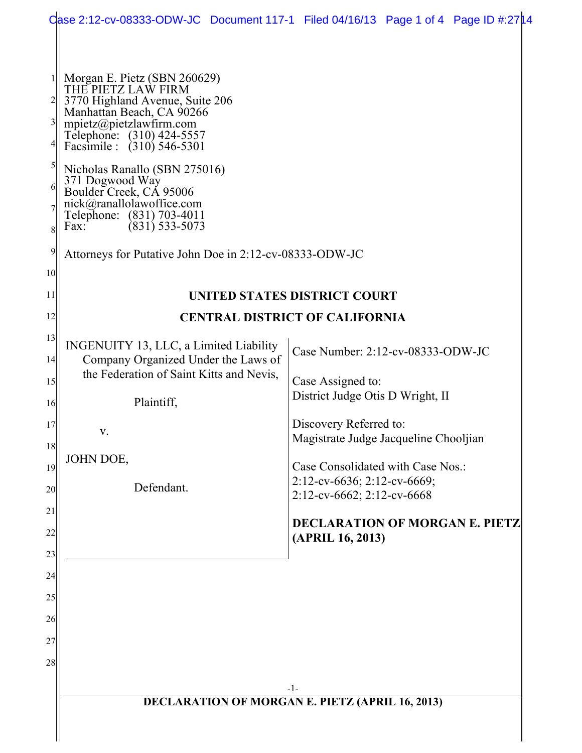|                                                                   | Case 2:12-cv-08333-ODW-JC Document 117-1 Filed 04/16/13 Page 1 of 4 Page ID #:2714                                                                                                                                                                                                                                                                                                                                                       |       |                                                                                                                                                                                                                                                                                                                       |  |  |
|-------------------------------------------------------------------|------------------------------------------------------------------------------------------------------------------------------------------------------------------------------------------------------------------------------------------------------------------------------------------------------------------------------------------------------------------------------------------------------------------------------------------|-------|-----------------------------------------------------------------------------------------------------------------------------------------------------------------------------------------------------------------------------------------------------------------------------------------------------------------------|--|--|
| 3<br>4 <br>$\mathcal{S}$<br>61<br>8<br>9<br>10 <sup>1</sup><br>11 | Morgan E. Pietz (SBN 260629)<br>THE PIETZ LAW FIRM<br>3770 Highland Avenue, Suite 206<br>Manhattan Beach, CA 90266<br>mpietz@pietzlawfirm.com<br>Telephone: (310) 424-5557<br>Facsimile : (310) 546-5301<br>Nicholas Ranallo (SBN 275016)<br>371 Dogwood Way<br>Boulder Creek, CA 95006<br>nick@ranallolawoffice.com<br>Telephone: (831) 703-4011<br>$(831)$ 533-5073<br>Fax:<br>Attorneys for Putative John Doe in 2:12-cv-08333-ODW-JC |       | UNITED STATES DISTRICT COURT                                                                                                                                                                                                                                                                                          |  |  |
| 12                                                                | <b>CENTRAL DISTRICT OF CALIFORNIA</b>                                                                                                                                                                                                                                                                                                                                                                                                    |       |                                                                                                                                                                                                                                                                                                                       |  |  |
| 13<br>14<br>15<br>16<br>17<br>18<br>19<br>20<br>21<br>22<br>23    | INGENUITY 13, LLC, a Limited Liability<br>Company Organized Under the Laws of<br>the Federation of Saint Kitts and Nevis,<br>Plaintiff,<br>V.<br>JOHN DOE,<br>Defendant.                                                                                                                                                                                                                                                                 |       | Case Number: 2:12-cv-08333-ODW-JC<br>Case Assigned to:<br>District Judge Otis D Wright, II<br>Discovery Referred to:<br>Magistrate Judge Jacqueline Chooljian<br>Case Consolidated with Case Nos.:<br>2:12-cv-6636; 2:12-cv-6669;<br>2:12-cv-6662; 2:12-cv-6668<br>DECLARATION OF MORGAN E. PIETZ<br>(APRIL 16, 2013) |  |  |
| 24<br>25<br>26<br>27<br>28                                        | <b>DECLARATION OF MORGAN E. PIETZ (APRIL 16, 2013)</b>                                                                                                                                                                                                                                                                                                                                                                                   | $-1-$ |                                                                                                                                                                                                                                                                                                                       |  |  |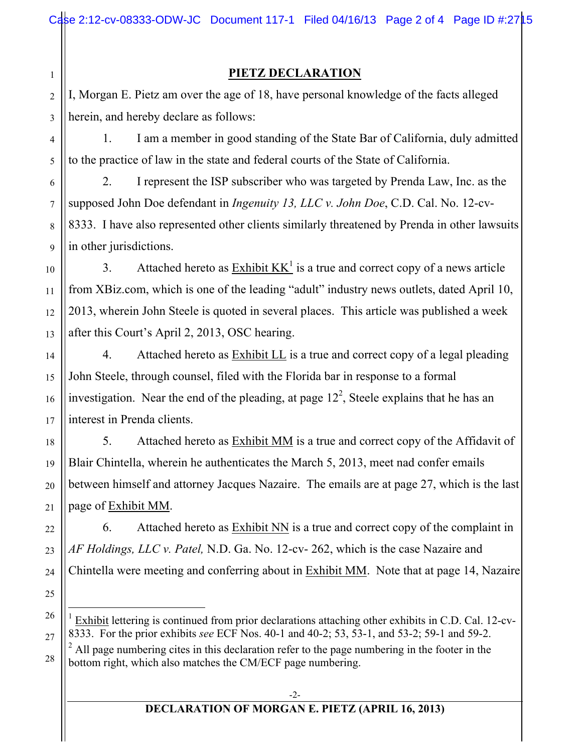## **PIETZ DECLARATION**

2 3 I, Morgan E. Pietz am over the age of 18, have personal knowledge of the facts alleged herein, and hereby declare as follows:

1

4

5

6

7

8

9

10

11

12

13

14

15

16

17

18

19

20

21

22

23

24

25

26

27

28

1. I am a member in good standing of the State Bar of California, duly admitted to the practice of law in the state and federal courts of the State of California.

2. I represent the ISP subscriber who was targeted by Prenda Law, Inc. as the supposed John Doe defendant in *Ingenuity 13, LLC v. John Doe*, C.D. Cal. No. 12-cv-8333. I have also represented other clients similarly threatened by Prenda in other lawsuits in other jurisdictions.

3. Attached hereto as  $\overline{\text{Exhibit KK}}^1$  is a true and correct copy of a news article from XBiz.com, which is one of the leading "adult" industry news outlets, dated April 10, 2013, wherein John Steele is quoted in several places. This article was published a week after this Court's April 2, 2013, OSC hearing.

4. Attached hereto as **Exhibit LL** is a true and correct copy of a legal pleading John Steele, through counsel, filed with the Florida bar in response to a formal investigation. Near the end of the pleading, at page  $12<sup>2</sup>$ , Steele explains that he has an interest in Prenda clients.

5. Attached hereto as Exhibit MM is a true and correct copy of the Affidavit of Blair Chintella, wherein he authenticates the March 5, 2013, meet nad confer emails between himself and attorney Jacques Nazaire. The emails are at page 27, which is the last page of Exhibit MM.

6. Attached hereto as Exhibit NN is a true and correct copy of the complaint in *AF Holdings, LLC v. Patel,* N.D. Ga. No. 12-cv- 262, which is the case Nazaire and Chintella were meeting and conferring about in Exhibit MM. Note that at page 14, Nazaire

 $1$  Exhibit lettering is continued from prior declarations attaching other exhibits in C.D. Cal. 12-cv-8333. For the prior exhibits *see* ECF Nos. 40-1 and 40-2; 53, 53-1, and 53-2; 59-1 and 59-2.  $2$  All page numbering cites in this declaration refer to the page numbering in the footer in the bottom right, which also matches the CM/ECF page numbering.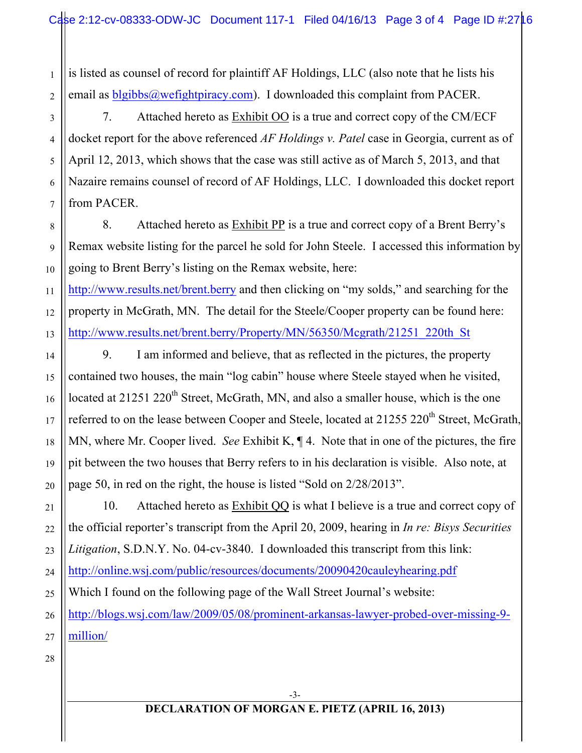is listed as counsel of record for plaintiff AF Holdings, LLC (also note that he lists his email as blgibbs@wefightpiracy.com). I downloaded this complaint from PACER.

7. Attached hereto as Exhibit OO is a true and correct copy of the CM/ECF docket report for the above referenced *AF Holdings v. Patel* case in Georgia, current as of April 12, 2013, which shows that the case was still active as of March 5, 2013, and that Nazaire remains counsel of record of AF Holdings, LLC. I downloaded this docket report from PACER.

8. Attached hereto as Exhibit PP is a true and correct copy of a Brent Berry's Remax website listing for the parcel he sold for John Steele. I accessed this information by going to Brent Berry's listing on the Remax website, here:

http://www.results.net/brent.berry and then clicking on "my solds," and searching for the property in McGrath, MN. The detail for the Steele/Cooper property can be found here: http://www.results.net/brent.berry/Property/MN/56350/Mcgrath/21251\_220th\_St

9. I am informed and believe, that as reflected in the pictures, the property contained two houses, the main "log cabin" house where Steele stayed when he visited, located at  $21251 220<sup>th</sup>$  Street, McGrath, MN, and also a smaller house, which is the one referred to on the lease between Cooper and Steele, located at 21255 220<sup>th</sup> Street, McGrath, MN, where Mr. Cooper lived. *See* Exhibit K, ¶ 4. Note that in one of the pictures, the fire pit between the two houses that Berry refers to in his declaration is visible. Also note, at page 50, in red on the right, the house is listed "Sold on 2/28/2013".

10. Attached hereto as Exhibit QQ is what I believe is a true and correct copy of the official reporter's transcript from the April 20, 2009, hearing in *In re: Bisys Securities Litigation*, S.D.N.Y. No. 04-cv-3840. I downloaded this transcript from this link: http://online.wsj.com/public/resources/documents/20090420cauleyhearing.pdf Which I found on the following page of the Wall Street Journal's website: http://blogs.wsj.com/law/2009/05/08/prominent-arkansas-lawyer-probed-over-missing-9 million/

1

2

3

4

5

6

7

8

9

10

11

12